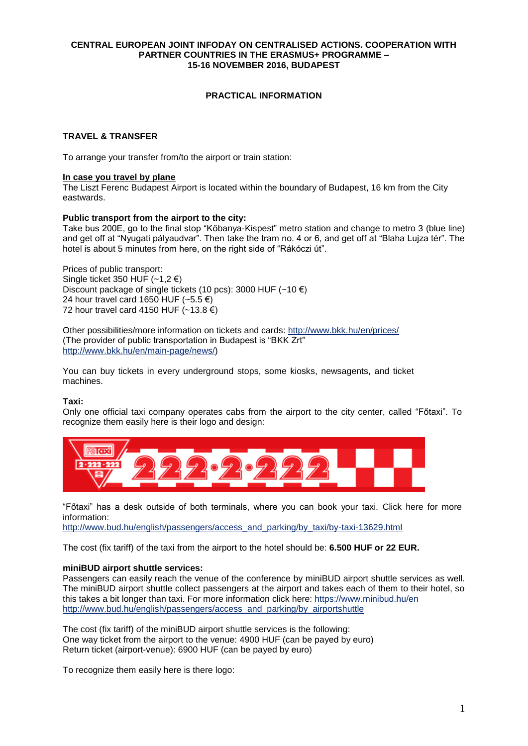# **CENTRAL EUROPEAN JOINT INFODAY ON CENTRALISED ACTIONS. COOPERATION WITH PARTNER COUNTRIES IN THE ERASMUS+ PROGRAMME – 15-16 NOVEMBER 2016, BUDAPEST**

# **PRACTICAL INFORMATION**

# **TRAVEL & TRANSFER**

To arrange your transfer from/to the airport or train station:

# **In case you travel by plane**

The Liszt Ferenc Budapest Airport is located within the boundary of Budapest, 16 km from the City eastwards.

# **Public transport from the airport to the city:**

Take bus 200E, go to the final stop "Kőbanya-Kispest" metro station and change to metro 3 (blue line) and get off at "Nyugati pályaudvar". Then take the tram no. 4 or 6, and get off at "Blaha Lujza tér". The hotel is about 5 minutes from here, on the right side of "Rákóczi út".

Prices of public transport: Single ticket 350 HUF  $(-1,2)$  €) Discount package of single tickets (10 pcs): 3000 HUF (~10  $\epsilon$ ) 24 hour travel card 1650 HUF  $(-5.5 \infty)$ 72 hour travel card 4150 HUF  $(-13.8 \text{ } \widehat{\epsilon})$ 

Other possibilities/more information on tickets and cards:<http://www.bkk.hu/en/prices/> (The provider of public transportation in Budapest is "BKK Zrt" [http://www.bkk.hu/en/main-page/news/\)](http://www.bkk.hu/en/main-page/news/)

You can buy tickets in every underground stops, some kiosks, newsagents, and ticket machines.

#### **Taxi:**

Only one official taxi company operates cabs from the airport to the city center, called "Főtaxi". To recognize them easily here is their logo and design:



"Főtaxi" has a desk outside of both terminals, where you can book your taxi. Click here for more information:

[http://www.bud.hu/english/passengers/access\\_and\\_parking/by\\_taxi/by-taxi-13629.html](http://www.bud.hu/english/passengers/access_and_parking/by_taxi/by-taxi-13629.html)

The cost (fix tariff) of the taxi from the airport to the hotel should be: **6.500 HUF or 22 EUR.**

#### **miniBUD airport shuttle services:**

Passengers can easily reach the venue of the conference by miniBUD airport shuttle services as well. The miniBUD airport shuttle collect passengers at the airport and takes each of them to their hotel, so this takes a bit longer than taxi. For more information click here: <https://www.minibud.hu/en> [http://www.bud.hu/english/passengers/access\\_and\\_parking/by\\_airportshuttle](http://www.bud.hu/english/passengers/access_and_parking/by_airportshuttle)

The cost (fix tariff) of the miniBUD airport shuttle services is the following: One way ticket from the airport to the venue: 4900 HUF (can be payed by euro) Return ticket (airport-venue): 6900 HUF (can be payed by euro)

To recognize them easily here is there logo: